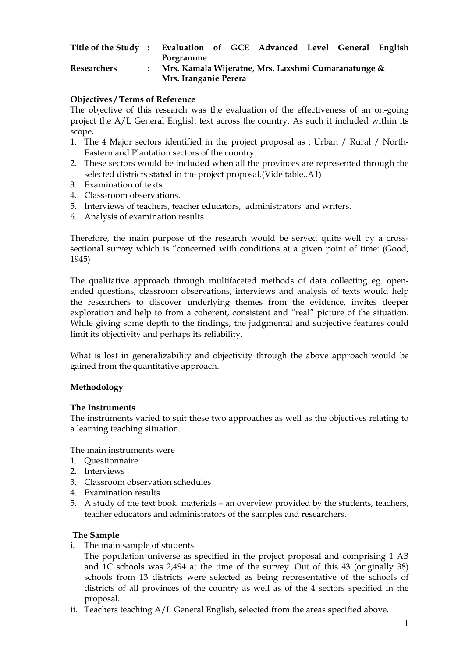| Title of the Study: Evaluation of GCE Advanced Level General English |  |                                                                              |  |  |  |  |  |  |
|----------------------------------------------------------------------|--|------------------------------------------------------------------------------|--|--|--|--|--|--|
|                                                                      |  | Porgramme                                                                    |  |  |  |  |  |  |
| Researchers                                                          |  | Mrs. Kamala Wijeratne, Mrs. Laxshmi Cumaranatunge &<br>Mrs. Iranganie Perera |  |  |  |  |  |  |
|                                                                      |  |                                                                              |  |  |  |  |  |  |

### **Objectives / Terms of Reference**

The objective of this research was the evaluation of the effectiveness of an on-going project the A/L General English text across the country. As such it included within its scope.

- 1. The 4 Major sectors identified in the project proposal as : Urban / Rural / North-Eastern and Plantation sectors of the country.
- 2. These sectors would be included when all the provinces are represented through the selected districts stated in the project proposal.(Vide table..A1)
- 3. Examination of texts.
- 4. Class-room observations.
- 5. Interviews of teachers, teacher educators, administrators and writers.
- 6. Analysis of examination results.

Therefore, the main purpose of the research would be served quite well by a crosssectional survey which is "concerned with conditions at a given point of time: (Good, 1945)

The qualitative approach through multifaceted methods of data collecting eg. openended questions, classroom observations, interviews and analysis of texts would help the researchers to discover underlying themes from the evidence, invites deeper exploration and help to from a coherent, consistent and "real" picture of the situation. While giving some depth to the findings, the judgmental and subjective features could limit its objectivity and perhaps its reliability.

What is lost in generalizability and objectivity through the above approach would be gained from the quantitative approach.

### **Methodology**

### **The Instruments**

The instruments varied to suit these two approaches as well as the objectives relating to a learning teaching situation.

The main instruments were

- 1. Questionnaire
- 2. Interviews
- 3. Classroom observation schedules
- 4. Examination results.
- 5. A study of the text book materials an overview provided by the students, teachers, teacher educators and administrators of the samples and researchers.

### **The Sample**

i. The main sample of students

 The population universe as specified in the project proposal and comprising 1 AB and 1C schools was 2,494 at the time of the survey. Out of this 43 (originally 38) schools from 13 districts were selected as being representative of the schools of districts of all provinces of the country as well as of the 4 sectors specified in the proposal.

ii. Teachers teaching A/L General English, selected from the areas specified above.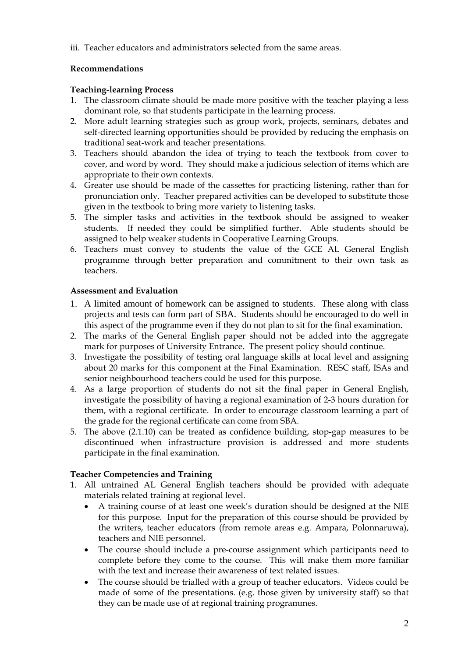iii. Teacher educators and administrators selected from the same areas.

# **Recommendations**

### **Teaching-learning Process**

- 1. The classroom climate should be made more positive with the teacher playing a less dominant role, so that students participate in the learning process.
- 2. More adult learning strategies such as group work, projects, seminars, debates and self-directed learning opportunities should be provided by reducing the emphasis on traditional seat-work and teacher presentations.
- 3. Teachers should abandon the idea of trying to teach the textbook from cover to cover, and word by word. They should make a judicious selection of items which are appropriate to their own contexts.
- 4. Greater use should be made of the cassettes for practicing listening, rather than for pronunciation only. Teacher prepared activities can be developed to substitute those given in the textbook to bring more variety to listening tasks.
- 5. The simpler tasks and activities in the textbook should be assigned to weaker students. If needed they could be simplified further. Able students should be assigned to help weaker students in Cooperative Learning Groups.
- 6. Teachers must convey to students the value of the GCE AL General English programme through better preparation and commitment to their own task as teachers.

### **Assessment and Evaluation**

- 1. A limited amount of homework can be assigned to students. These along with class projects and tests can form part of SBA. Students should be encouraged to do well in this aspect of the programme even if they do not plan to sit for the final examination.
- 2. The marks of the General English paper should not be added into the aggregate mark for purposes of University Entrance. The present policy should continue.
- 3. Investigate the possibility of testing oral language skills at local level and assigning about 20 marks for this component at the Final Examination. RESC staff, ISAs and senior neighbourhood teachers could be used for this purpose.
- 4. As a large proportion of students do not sit the final paper in General English, investigate the possibility of having a regional examination of 2-3 hours duration for them, with a regional certificate. In order to encourage classroom learning a part of the grade for the regional certificate can come from SBA.
- 5. The above (2.1.10) can be treated as confidence building, stop-gap measures to be discontinued when infrastructure provision is addressed and more students participate in the final examination.

# **Teacher Competencies and Training**

- 1. All untrained AL General English teachers should be provided with adequate materials related training at regional level.
	- A training course of at least one week's duration should be designed at the NIE for this purpose. Input for the preparation of this course should be provided by the writers, teacher educators (from remote areas e.g. Ampara, Polonnaruwa), teachers and NIE personnel.
	- The course should include a pre-course assignment which participants need to complete before they come to the course. This will make them more familiar with the text and increase their awareness of text related issues.
	- The course should be trialled with a group of teacher educators. Videos could be made of some of the presentations. (e.g. those given by university staff) so that they can be made use of at regional training programmes.